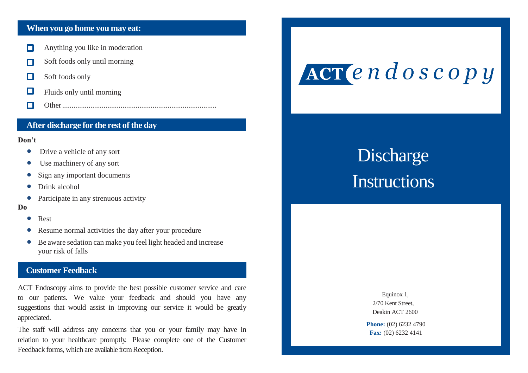# **When you go home you may eat:**

- Anything you like in moderation П
- Soft foods only until morning П
- П Soft foods only
- $\Box$ Fluids only until morning
- П Other..................................................................................

# **After discharge for the rest of the day**

#### **Don't**

- Drive a vehicle of any sort
- Use machinery of any sort
- Sign any important documents
- Drink alcohol
- Participate in any strenuous activity

#### **Do**

- Rest
- Resume normal activities the day after your procedure
- Be aware sedation can make you feel light headed and increase your risk of falls

# **Customer Feedback**

ACT Endoscopy aims to provide the best possible customer service and care to our patients. We value your feedback and should you have any suggestions that would assist in improving our service it would be greatly appreciated.

The staff will address any concerns that you or your family may have in relation to your healthcare promptly. Please complete one of the Customer Feedback forms, which are available from Reception.

# ACT endoscopy

# **Discharge Instructions**

Equinox 1, 2/70 Kent Street, Deakin ACT 2600

**Phone:** (02) 6232 4790 **Fax:** (02) 6232 4141